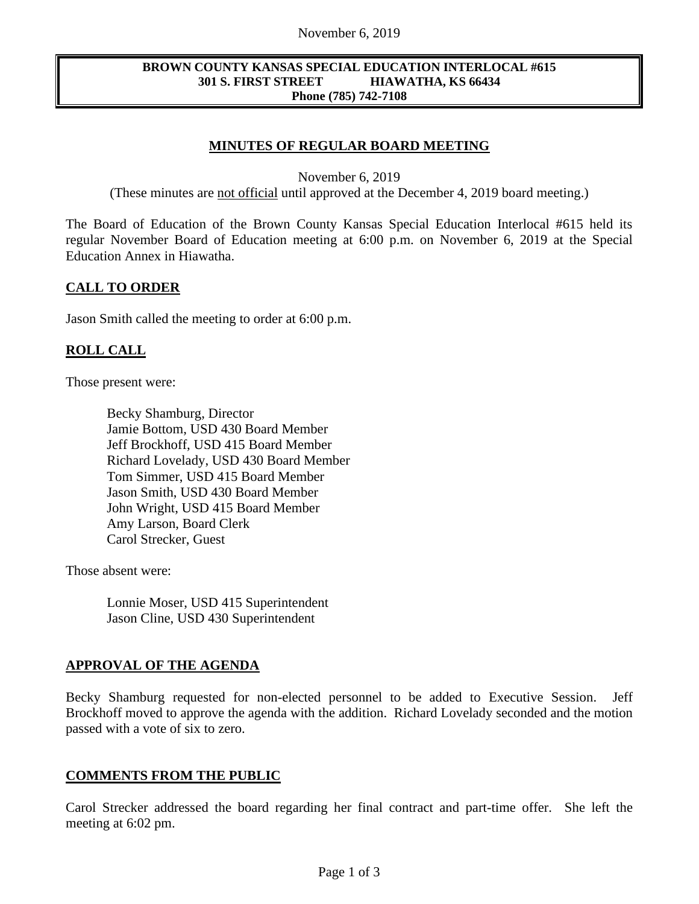#### November 6, 2019

#### **BROWN COUNTY KANSAS SPECIAL EDUCATION INTERLOCAL #615 301 S. FIRST STREET HIAWATHA, KS 66434 Phone (785) 742-7108**

# **MINUTES OF REGULAR BOARD MEETING**

November 6, 2019

(These minutes are not official until approved at the December 4, 2019 board meeting.)

The Board of Education of the Brown County Kansas Special Education Interlocal #615 held its regular November Board of Education meeting at 6:00 p.m. on November 6, 2019 at the Special Education Annex in Hiawatha.

### **CALL TO ORDER**

Jason Smith called the meeting to order at 6:00 p.m.

# **ROLL CALL**

Those present were:

Becky Shamburg, Director Jamie Bottom, USD 430 Board Member Jeff Brockhoff, USD 415 Board Member Richard Lovelady, USD 430 Board Member Tom Simmer, USD 415 Board Member Jason Smith, USD 430 Board Member John Wright, USD 415 Board Member Amy Larson, Board Clerk Carol Strecker, Guest

Those absent were:

Lonnie Moser, USD 415 Superintendent Jason Cline, USD 430 Superintendent

#### **APPROVAL OF THE AGENDA**

Becky Shamburg requested for non-elected personnel to be added to Executive Session. Jeff Brockhoff moved to approve the agenda with the addition. Richard Lovelady seconded and the motion passed with a vote of six to zero.

#### **COMMENTS FROM THE PUBLIC**

Carol Strecker addressed the board regarding her final contract and part-time offer. She left the meeting at 6:02 pm.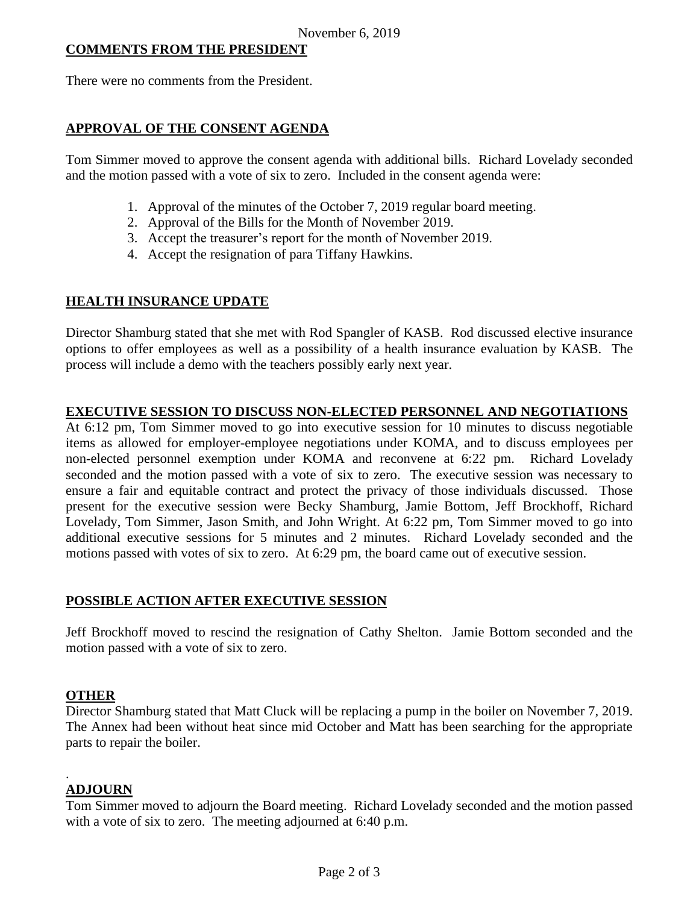### **COMMENTS FROM THE PRESIDENT**

There were no comments from the President.

# **APPROVAL OF THE CONSENT AGENDA**

Tom Simmer moved to approve the consent agenda with additional bills. Richard Lovelady seconded and the motion passed with a vote of six to zero. Included in the consent agenda were:

- 1. Approval of the minutes of the October 7, 2019 regular board meeting.
- 2. Approval of the Bills for the Month of November 2019.
- 3. Accept the treasurer's report for the month of November 2019.
- 4. Accept the resignation of para Tiffany Hawkins.

### **HEALTH INSURANCE UPDATE**

Director Shamburg stated that she met with Rod Spangler of KASB. Rod discussed elective insurance options to offer employees as well as a possibility of a health insurance evaluation by KASB. The process will include a demo with the teachers possibly early next year.

### **EXECUTIVE SESSION TO DISCUSS NON-ELECTED PERSONNEL AND NEGOTIATIONS**

At 6:12 pm, Tom Simmer moved to go into executive session for 10 minutes to discuss negotiable items as allowed for employer-employee negotiations under KOMA, and to discuss employees per non-elected personnel exemption under KOMA and reconvene at 6:22 pm. Richard Lovelady seconded and the motion passed with a vote of six to zero. The executive session was necessary to ensure a fair and equitable contract and protect the privacy of those individuals discussed. Those present for the executive session were Becky Shamburg, Jamie Bottom, Jeff Brockhoff, Richard Lovelady, Tom Simmer, Jason Smith, and John Wright. At 6:22 pm, Tom Simmer moved to go into additional executive sessions for 5 minutes and 2 minutes. Richard Lovelady seconded and the motions passed with votes of six to zero. At 6:29 pm, the board came out of executive session.

# **POSSIBLE ACTION AFTER EXECUTIVE SESSION**

Jeff Brockhoff moved to rescind the resignation of Cathy Shelton. Jamie Bottom seconded and the motion passed with a vote of six to zero.

#### **OTHER**

Director Shamburg stated that Matt Cluck will be replacing a pump in the boiler on November 7, 2019. The Annex had been without heat since mid October and Matt has been searching for the appropriate parts to repair the boiler.

# **ADJOURN**

.

Tom Simmer moved to adjourn the Board meeting. Richard Lovelady seconded and the motion passed with a vote of six to zero. The meeting adjourned at 6:40 p.m.